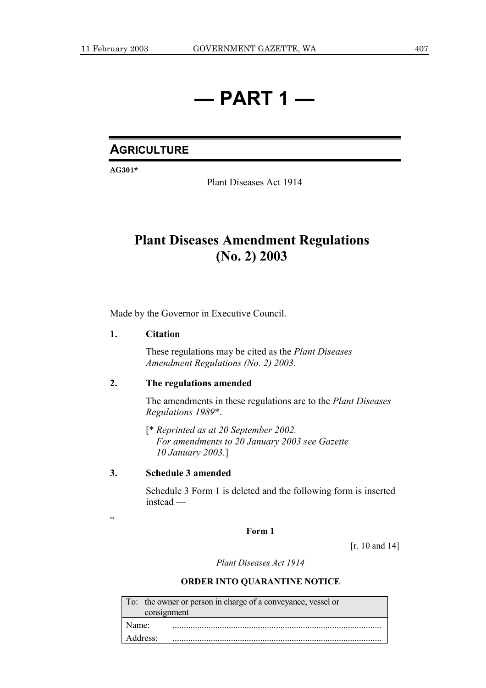# $-$  PART 1 $-$

## **AGRICULTURE**

AG301\*

Plant Diseases Act 1914

## **Plant Diseases Amendment Regulations**  $(No. 2)$  2003

Made by the Governor in Executive Council.

#### 1. **Citation**

These regulations may be cited as the Plant Diseases Amendment Regulations (No. 2) 2003.

#### $2.$ The regulations amended

The amendments in these regulations are to the *Plant Diseases* Regulations 1989\*.

[\* Reprinted as at 20 September 2002. For amendments to 20 January 2003 see Gazette 10 January 2003.]

#### 3. **Schedule 3 amended**

Schedule 3 Form 1 is deleted and the following form is inserted  $instead -$ 

 $\epsilon$ 

### Form 1

[ $r. 10$  and 14]

Plant Diseases Act 1914

### ORDER INTO QUARANTINE NOTICE

| To: the owner or person in charge of a conveyance, vessel or |  |  |
|--------------------------------------------------------------|--|--|
| consignment                                                  |  |  |
| Name:                                                        |  |  |
| Address:                                                     |  |  |